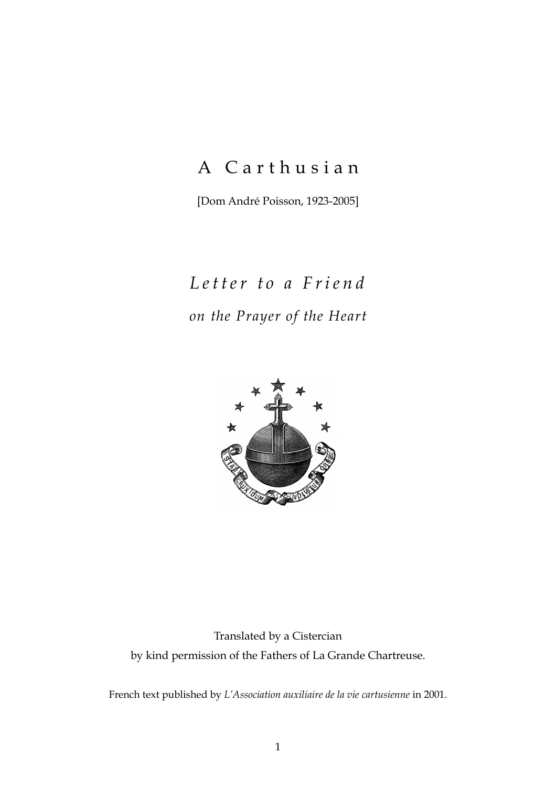## A Carthusian

[Dom André Poisson, 1923-2005]

# *Letter to a Friend on the Prayer of the Heart*



### Translated by a Cistercian by kind permission of the Fathers of La Grande Chartreuse.

French text published by *L'Association auxiliaire de la vie cartusienne* in 2001.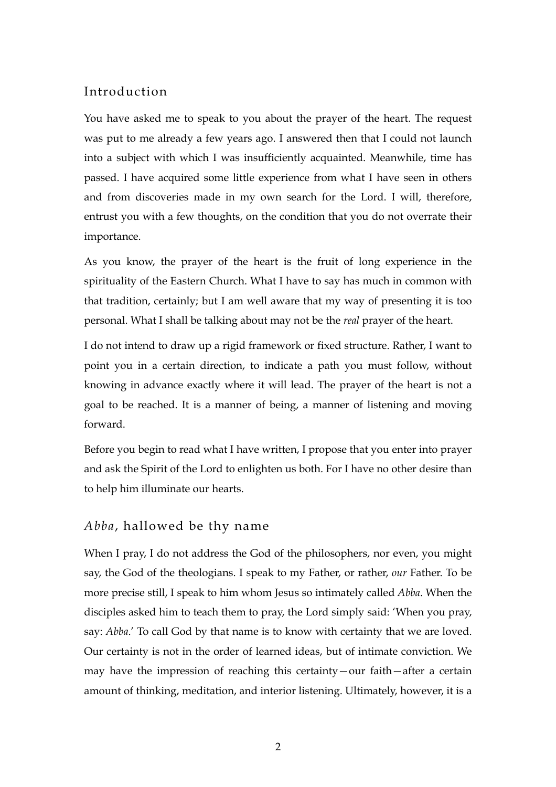#### Introduction

You have asked me to speak to you about the prayer of the heart. The request was put to me already a few years ago. I answered then that I could not launch into a subject with which I was insufficiently acquainted. Meanwhile, time has passed. I have acquired some little experience from what I have seen in others and from discoveries made in my own search for the Lord. I will, therefore, entrust you with a few thoughts, on the condition that you do not overrate their importance.

As you know, the prayer of the heart is the fruit of long experience in the spirituality of the Eastern Church. What I have to say has much in common with that tradition, certainly; but I am well aware that my way of presenting it is too personal. What I shall be talking about may not be the *real* prayer of the heart.

I do not intend to draw up a rigid framework or fixed structure. Rather, I want to point you in a certain direction, to indicate a path you must follow, without knowing in advance exactly where it will lead. The prayer of the heart is not a goal to be reached. It is a manner of being, a manner of listening and moving forward.

Before you begin to read what I have written, I propose that you enter into prayer and ask the Spirit of the Lord to enlighten us both. For I have no other desire than to help him illuminate our hearts.

#### *Abba*, hallowed be thy name

When I pray, I do not address the God of the philosophers, nor even, you might say, the God of the theologians. I speak to my Father, or rather, *our* Father. To be more precise still, I speak to him whom Jesus so intimately called *Abba*. When the disciples asked him to teach them to pray, the Lord simply said: 'When you pray, say: *Abba*.' To call God by that name is to know with certainty that we are loved. Our certainty is not in the order of learned ideas, but of intimate conviction. We may have the impression of reaching this certainty—our faith—after a certain amount of thinking, meditation, and interior listening. Ultimately, however, it is a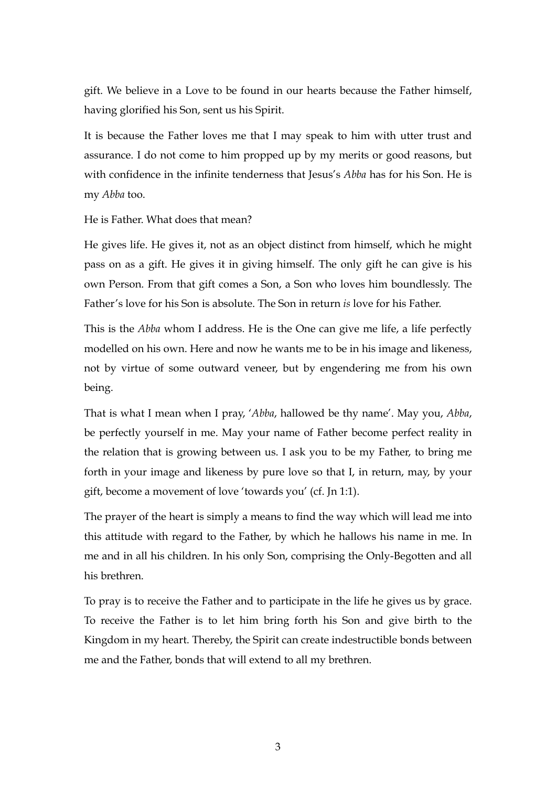gift. We believe in a Love to be found in our hearts because the Father himself, having glorified his Son, sent us his Spirit.

It is because the Father loves me that I may speak to him with utter trust and assurance. I do not come to him propped up by my merits or good reasons, but with confidence in the infinite tenderness that Jesus's *Abba* has for his Son. He is my *Abba* too.

#### He is Father. What does that mean?

He gives life. He gives it, not as an object distinct from himself, which he might pass on as a gift. He gives it in giving himself. The only gift he can give is his own Person. From that gift comes a Son, a Son who loves him boundlessly. The Father's love for his Son is absolute. The Son in return *is* love for his Father.

This is the *Abba* whom I address. He is the One can give me life, a life perfectly modelled on his own. Here and now he wants me to be in his image and likeness, not by virtue of some outward veneer, but by engendering me from his own being.

That is what I mean when I pray, '*Abba*, hallowed be thy name'. May you, *Abba*, be perfectly yourself in me. May your name of Father become perfect reality in the relation that is growing between us. I ask you to be my Father, to bring me forth in your image and likeness by pure love so that I, in return, may, by your gift, become a movement of love 'towards you' (cf. Jn 1:1).

The prayer of the heart is simply a means to find the way which will lead me into this attitude with regard to the Father, by which he hallows his name in me. In me and in all his children. In his only Son, comprising the Only-Begotten and all his brethren.

To pray is to receive the Father and to participate in the life he gives us by grace. To receive the Father is to let him bring forth his Son and give birth to the Kingdom in my heart. Thereby, the Spirit can create indestructible bonds between me and the Father, bonds that will extend to all my brethren.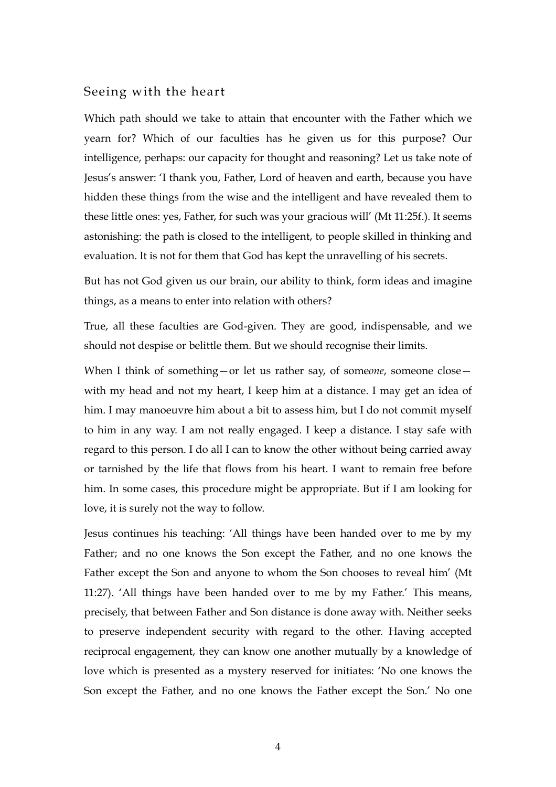#### Seeing with the heart

Which path should we take to attain that encounter with the Father which we yearn for? Which of our faculties has he given us for this purpose? Our intelligence, perhaps: our capacity for thought and reasoning? Let us take note of Jesus's answer: 'I thank you, Father, Lord of heaven and earth, because you have hidden these things from the wise and the intelligent and have revealed them to these little ones: yes, Father, for such was your gracious will' (Mt 11:25f.). It seems astonishing: the path is closed to the intelligent, to people skilled in thinking and evaluation. It is not for them that God has kept the unravelling of his secrets.

But has not God given us our brain, our ability to think, form ideas and imagine things, as a means to enter into relation with others?

True, all these faculties are God-given. They are good, indispensable, and we should not despise or belittle them. But we should recognise their limits.

When I think of something—or let us rather say, of someone, someone close with my head and not my heart, I keep him at a distance. I may get an idea of him. I may manoeuvre him about a bit to assess him, but I do not commit myself to him in any way. I am not really engaged. I keep a distance. I stay safe with regard to this person. I do all I can to know the other without being carried away or tarnished by the life that flows from his heart. I want to remain free before him. In some cases, this procedure might be appropriate. But if I am looking for love, it is surely not the way to follow.

Jesus continues his teaching: 'All things have been handed over to me by my Father; and no one knows the Son except the Father, and no one knows the Father except the Son and anyone to whom the Son chooses to reveal him' (Mt 11:27). 'All things have been handed over to me by my Father.' This means, precisely, that between Father and Son distance is done away with. Neither seeks to preserve independent security with regard to the other. Having accepted reciprocal engagement, they can know one another mutually by a knowledge of love which is presented as a mystery reserved for initiates: 'No one knows the Son except the Father, and no one knows the Father except the Son.' No one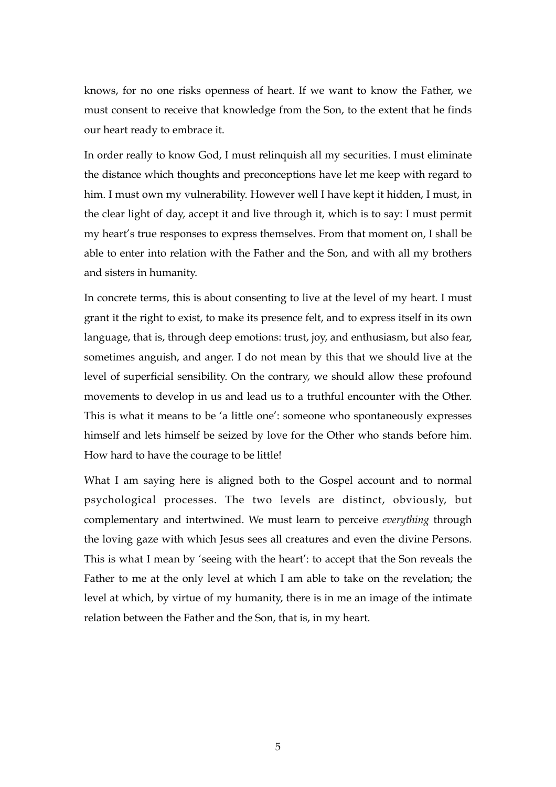knows, for no one risks openness of heart. If we want to know the Father, we must consent to receive that knowledge from the Son, to the extent that he finds our heart ready to embrace it.

In order really to know God, I must relinquish all my securities. I must eliminate the distance which thoughts and preconceptions have let me keep with regard to him. I must own my vulnerability. However well I have kept it hidden, I must, in the clear light of day, accept it and live through it, which is to say: I must permit my heart's true responses to express themselves. From that moment on, I shall be able to enter into relation with the Father and the Son, and with all my brothers and sisters in humanity.

In concrete terms, this is about consenting to live at the level of my heart. I must grant it the right to exist, to make its presence felt, and to express itself in its own language, that is, through deep emotions: trust, joy, and enthusiasm, but also fear, sometimes anguish, and anger. I do not mean by this that we should live at the level of superficial sensibility. On the contrary, we should allow these profound movements to develop in us and lead us to a truthful encounter with the Other. This is what it means to be 'a little one': someone who spontaneously expresses himself and lets himself be seized by love for the Other who stands before him. How hard to have the courage to be little!

What I am saying here is aligned both to the Gospel account and to normal psychological processes. The two levels are distinct, obviously, but complementary and intertwined. We must learn to perceive *everything* through the loving gaze with which Jesus sees all creatures and even the divine Persons. This is what I mean by 'seeing with the heart': to accept that the Son reveals the Father to me at the only level at which I am able to take on the revelation; the level at which, by virtue of my humanity, there is in me an image of the intimate relation between the Father and the Son, that is, in my heart.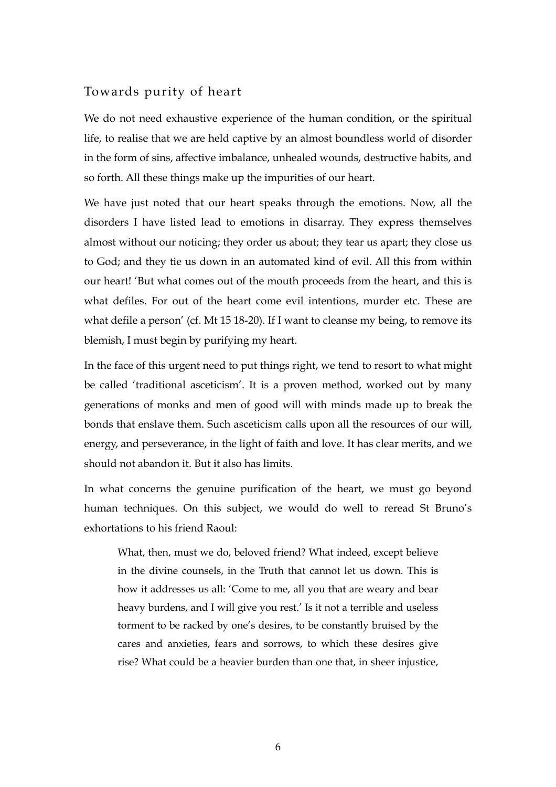#### Towards purity of heart

We do not need exhaustive experience of the human condition, or the spiritual life, to realise that we are held captive by an almost boundless world of disorder in the form of sins, affective imbalance, unhealed wounds, destructive habits, and so forth. All these things make up the impurities of our heart.

We have just noted that our heart speaks through the emotions. Now, all the disorders I have listed lead to emotions in disarray. They express themselves almost without our noticing; they order us about; they tear us apart; they close us to God; and they tie us down in an automated kind of evil. All this from within our heart! 'But what comes out of the mouth proceeds from the heart, and this is what defiles. For out of the heart come evil intentions, murder etc. These are what defile a person' (cf. Mt 15 18-20). If I want to cleanse my being, to remove its blemish, I must begin by purifying my heart.

In the face of this urgent need to put things right, we tend to resort to what might be called 'traditional asceticism'. It is a proven method, worked out by many generations of monks and men of good will with minds made up to break the bonds that enslave them. Such asceticism calls upon all the resources of our will, energy, and perseverance, in the light of faith and love. It has clear merits, and we should not abandon it. But it also has limits.

In what concerns the genuine purification of the heart, we must go beyond human techniques. On this subject, we would do well to reread St Bruno's exhortations to his friend Raoul:

What, then, must we do, beloved friend? What indeed, except believe in the divine counsels, in the Truth that cannot let us down. This is how it addresses us all: 'Come to me, all you that are weary and bear heavy burdens, and I will give you rest.' Is it not a terrible and useless torment to be racked by one's desires, to be constantly bruised by the cares and anxieties, fears and sorrows, to which these desires give rise? What could be a heavier burden than one that, in sheer injustice,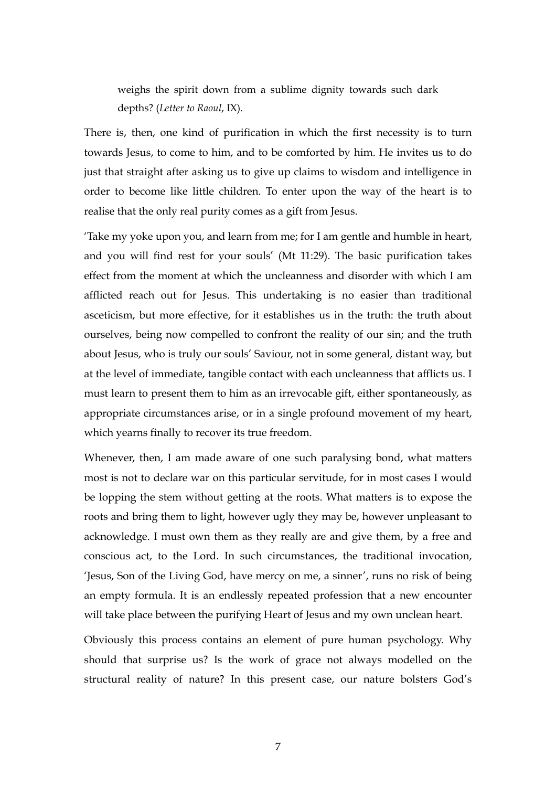weighs the spirit down from a sublime dignity towards such dark depths? (*Letter to Raoul*, IX).

There is, then, one kind of purification in which the first necessity is to turn towards Jesus, to come to him, and to be comforted by him. He invites us to do just that straight after asking us to give up claims to wisdom and intelligence in order to become like little children. To enter upon the way of the heart is to realise that the only real purity comes as a gift from Jesus.

'Take my yoke upon you, and learn from me; for I am gentle and humble in heart, and you will find rest for your souls' (Mt 11:29). The basic purification takes effect from the moment at which the uncleanness and disorder with which I am afflicted reach out for Jesus. This undertaking is no easier than traditional asceticism, but more effective, for it establishes us in the truth: the truth about ourselves, being now compelled to confront the reality of our sin; and the truth about Jesus, who is truly our souls' Saviour, not in some general, distant way, but at the level of immediate, tangible contact with each uncleanness that afflicts us. I must learn to present them to him as an irrevocable gift, either spontaneously, as appropriate circumstances arise, or in a single profound movement of my heart, which yearns finally to recover its true freedom.

Whenever, then, I am made aware of one such paralysing bond, what matters most is not to declare war on this particular servitude, for in most cases I would be lopping the stem without getting at the roots. What matters is to expose the roots and bring them to light, however ugly they may be, however unpleasant to acknowledge. I must own them as they really are and give them, by a free and conscious act, to the Lord. In such circumstances, the traditional invocation, 'Jesus, Son of the Living God, have mercy on me, a sinner', runs no risk of being an empty formula. It is an endlessly repeated profession that a new encounter will take place between the purifying Heart of Jesus and my own unclean heart.

Obviously this process contains an element of pure human psychology. Why should that surprise us? Is the work of grace not always modelled on the structural reality of nature? In this present case, our nature bolsters God's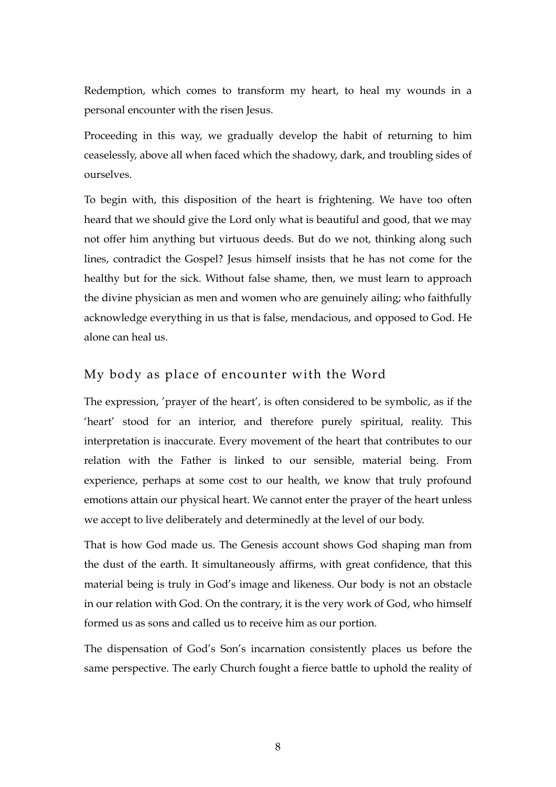Redemption, which comes to transform my heart, to heal my wounds in a personal encounter with the risen Jesus.

Proceeding in this way, we gradually develop the habit of returning to him ceaselessly, above all when faced which the shadowy, dark, and troubling sides of ourselves.

To begin with, this disposition of the heart is frightening. We have too often heard that we should give the Lord only what is beautiful and good, that we may not offer him anything but virtuous deeds. But do we not, thinking along such lines, contradict the Gospel? Jesus himself insists that he has not come for the healthy but for the sick. Without false shame, then, we must learn to approach the divine physician as men and women who are genuinely ailing; who faithfully acknowledge everything in us that is false, mendacious, and opposed to God. He alone can heal us.

#### My body as place of encounter with the Word

The expression, 'prayer of the heart', is often considered to be symbolic, as if the 'heart' stood for an interior, and therefore purely spiritual, reality. This interpretation is inaccurate. Every movement of the heart that contributes to our relation with the Father is linked to our sensible, material being. From experience, perhaps at some cost to our health, we know that truly profound emotions attain our physical heart. We cannot enter the prayer of the heart unless we accept to live deliberately and determinedly at the level of our body.

That is how God made us. The Genesis account shows God shaping man from the dust of the earth. It simultaneously affirms, with great confidence, that this material being is truly in God's image and likeness. Our body is not an obstacle in our relation with God. On the contrary, it is the very work of God, who himself formed us as sons and called us to receive him as our portion.

The dispensation of God's Son's incarnation consistently places us before the same perspective. The early Church fought a fierce battle to uphold the reality of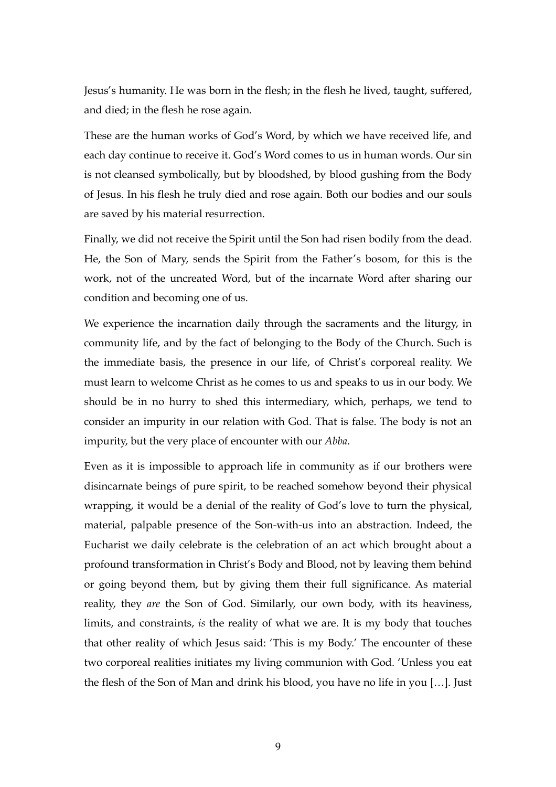Jesus's humanity. He was born in the flesh; in the flesh he lived, taught, suffered, and died; in the flesh he rose again.

These are the human works of God's Word, by which we have received life, and each day continue to receive it. God's Word comes to us in human words. Our sin is not cleansed symbolically, but by bloodshed, by blood gushing from the Body of Jesus. In his flesh he truly died and rose again. Both our bodies and our souls are saved by his material resurrection.

Finally, we did not receive the Spirit until the Son had risen bodily from the dead. He, the Son of Mary, sends the Spirit from the Father's bosom, for this is the work, not of the uncreated Word, but of the incarnate Word after sharing our condition and becoming one of us.

We experience the incarnation daily through the sacraments and the liturgy, in community life, and by the fact of belonging to the Body of the Church. Such is the immediate basis, the presence in our life, of Christ's corporeal reality. We must learn to welcome Christ as he comes to us and speaks to us in our body. We should be in no hurry to shed this intermediary, which, perhaps, we tend to consider an impurity in our relation with God. That is false. The body is not an impurity, but the very place of encounter with our *Abba*.

Even as it is impossible to approach life in community as if our brothers were disincarnate beings of pure spirit, to be reached somehow beyond their physical wrapping, it would be a denial of the reality of God's love to turn the physical, material, palpable presence of the Son-with-us into an abstraction. Indeed, the Eucharist we daily celebrate is the celebration of an act which brought about a profound transformation in Christ's Body and Blood, not by leaving them behind or going beyond them, but by giving them their full significance. As material reality, they *are* the Son of God. Similarly, our own body, with its heaviness, limits, and constraints, *is* the reality of what we are. It is my body that touches that other reality of which Jesus said: 'This is my Body.' The encounter of these two corporeal realities initiates my living communion with God. 'Unless you eat the flesh of the Son of Man and drink his blood, you have no life in you […]. Just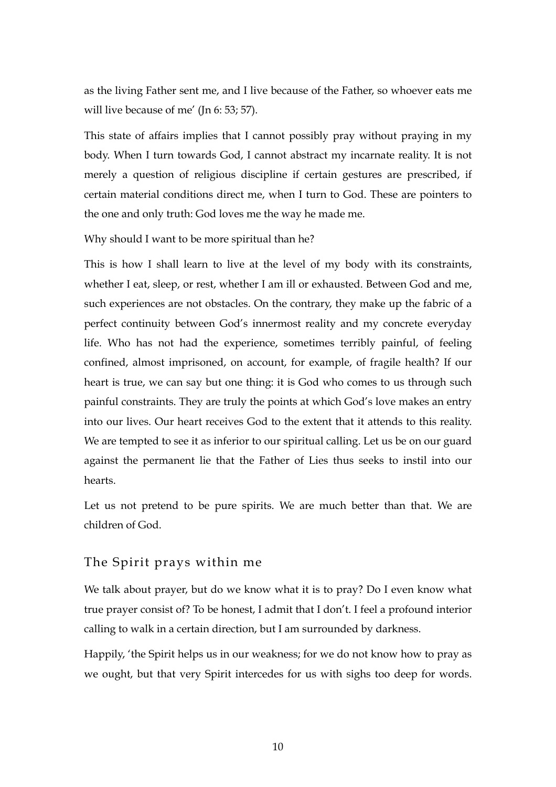as the living Father sent me, and I live because of the Father, so whoever eats me will live because of me' (In 6: 53: 57).

This state of affairs implies that I cannot possibly pray without praying in my body. When I turn towards God, I cannot abstract my incarnate reality. It is not merely a question of religious discipline if certain gestures are prescribed, if certain material conditions direct me, when I turn to God. These are pointers to the one and only truth: God loves me the way he made me.

Why should I want to be more spiritual than he?

This is how I shall learn to live at the level of my body with its constraints, whether I eat, sleep, or rest, whether I am ill or exhausted. Between God and me, such experiences are not obstacles. On the contrary, they make up the fabric of a perfect continuity between God's innermost reality and my concrete everyday life. Who has not had the experience, sometimes terribly painful, of feeling confined, almost imprisoned, on account, for example, of fragile health? If our heart is true, we can say but one thing: it is God who comes to us through such painful constraints. They are truly the points at which God's love makes an entry into our lives. Our heart receives God to the extent that it attends to this reality. We are tempted to see it as inferior to our spiritual calling. Let us be on our guard against the permanent lie that the Father of Lies thus seeks to instil into our hearts.

Let us not pretend to be pure spirits. We are much better than that. We are children of God.

#### The Spirit prays within me

We talk about prayer, but do we know what it is to pray? Do I even know what true prayer consist of? To be honest, I admit that I don't. I feel a profound interior calling to walk in a certain direction, but I am surrounded by darkness.

Happily, 'the Spirit helps us in our weakness; for we do not know how to pray as we ought, but that very Spirit intercedes for us with sighs too deep for words.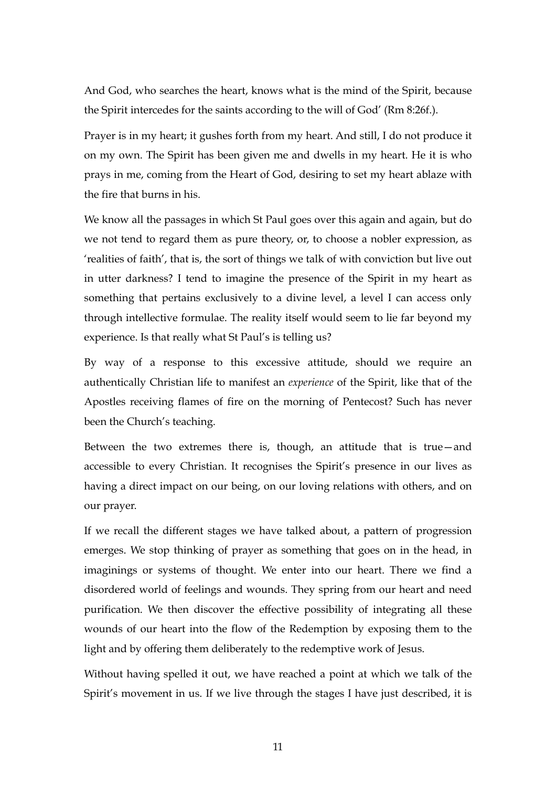And God, who searches the heart, knows what is the mind of the Spirit, because the Spirit intercedes for the saints according to the will of God' (Rm 8:26f.).

Prayer is in my heart; it gushes forth from my heart. And still, I do not produce it on my own. The Spirit has been given me and dwells in my heart. He it is who prays in me, coming from the Heart of God, desiring to set my heart ablaze with the fire that burns in his.

We know all the passages in which St Paul goes over this again and again, but do we not tend to regard them as pure theory, or, to choose a nobler expression, as 'realities of faith', that is, the sort of things we talk of with conviction but live out in utter darkness? I tend to imagine the presence of the Spirit in my heart as something that pertains exclusively to a divine level, a level I can access only through intellective formulae. The reality itself would seem to lie far beyond my experience. Is that really what St Paul's is telling us?

By way of a response to this excessive attitude, should we require an authentically Christian life to manifest an *experience* of the Spirit, like that of the Apostles receiving flames of fire on the morning of Pentecost? Such has never been the Church's teaching.

Between the two extremes there is, though, an attitude that is true—and accessible to every Christian. It recognises the Spirit's presence in our lives as having a direct impact on our being, on our loving relations with others, and on our prayer.

If we recall the different stages we have talked about, a pattern of progression emerges. We stop thinking of prayer as something that goes on in the head, in imaginings or systems of thought. We enter into our heart. There we find a disordered world of feelings and wounds. They spring from our heart and need purification. We then discover the effective possibility of integrating all these wounds of our heart into the flow of the Redemption by exposing them to the light and by offering them deliberately to the redemptive work of Jesus.

Without having spelled it out, we have reached a point at which we talk of the Spirit's movement in us. If we live through the stages I have just described, it is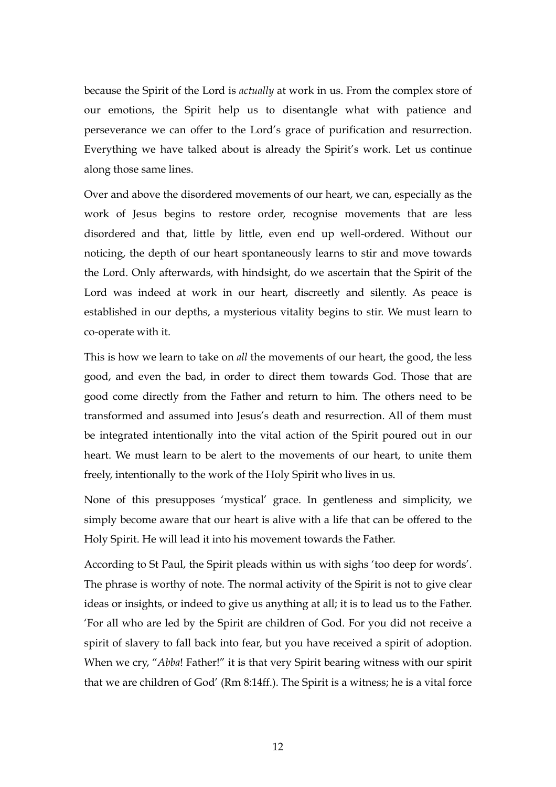because the Spirit of the Lord is *actually* at work in us. From the complex store of our emotions, the Spirit help us to disentangle what with patience and perseverance we can offer to the Lord's grace of purification and resurrection. Everything we have talked about is already the Spirit's work. Let us continue along those same lines.

Over and above the disordered movements of our heart, we can, especially as the work of Jesus begins to restore order, recognise movements that are less disordered and that, little by little, even end up well-ordered. Without our noticing, the depth of our heart spontaneously learns to stir and move towards the Lord. Only afterwards, with hindsight, do we ascertain that the Spirit of the Lord was indeed at work in our heart, discreetly and silently. As peace is established in our depths, a mysterious vitality begins to stir. We must learn to co-operate with it.

This is how we learn to take on *all* the movements of our heart, the good, the less good, and even the bad, in order to direct them towards God. Those that are good come directly from the Father and return to him. The others need to be transformed and assumed into Jesus's death and resurrection. All of them must be integrated intentionally into the vital action of the Spirit poured out in our heart. We must learn to be alert to the movements of our heart, to unite them freely, intentionally to the work of the Holy Spirit who lives in us.

None of this presupposes 'mystical' grace. In gentleness and simplicity, we simply become aware that our heart is alive with a life that can be offered to the Holy Spirit. He will lead it into his movement towards the Father.

According to St Paul, the Spirit pleads within us with sighs 'too deep for words'. The phrase is worthy of note. The normal activity of the Spirit is not to give clear ideas or insights, or indeed to give us anything at all; it is to lead us to the Father. 'For all who are led by the Spirit are children of God. For you did not receive a spirit of slavery to fall back into fear, but you have received a spirit of adoption. When we cry, "*Abba*! Father!" it is that very Spirit bearing witness with our spirit that we are children of God' (Rm 8:14ff.). The Spirit is a witness; he is a vital force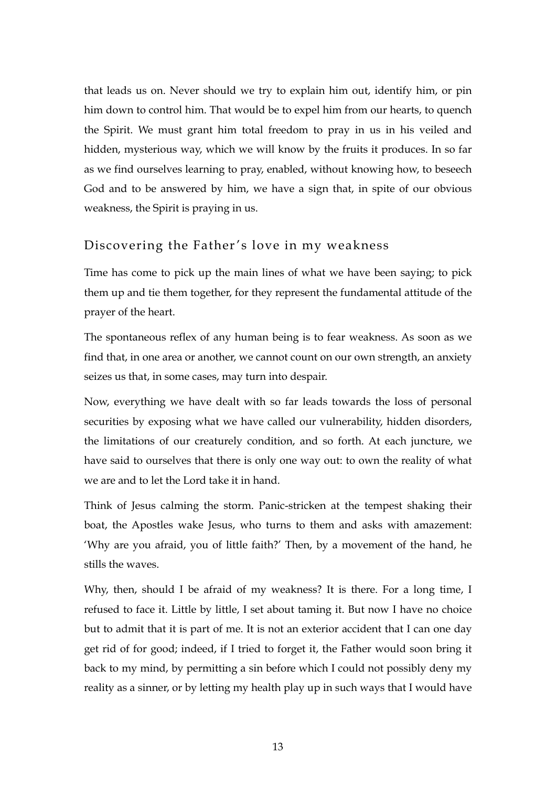that leads us on. Never should we try to explain him out, identify him, or pin him down to control him. That would be to expel him from our hearts, to quench the Spirit. We must grant him total freedom to pray in us in his veiled and hidden, mysterious way, which we will know by the fruits it produces. In so far as we find ourselves learning to pray, enabled, without knowing how, to beseech God and to be answered by him, we have a sign that, in spite of our obvious weakness, the Spirit is praying in us.

#### Discovering the Father's love in my weakness

Time has come to pick up the main lines of what we have been saying; to pick them up and tie them together, for they represent the fundamental attitude of the prayer of the heart.

The spontaneous reflex of any human being is to fear weakness. As soon as we find that, in one area or another, we cannot count on our own strength, an anxiety seizes us that, in some cases, may turn into despair.

Now, everything we have dealt with so far leads towards the loss of personal securities by exposing what we have called our vulnerability, hidden disorders, the limitations of our creaturely condition, and so forth. At each juncture, we have said to ourselves that there is only one way out: to own the reality of what we are and to let the Lord take it in hand.

Think of Jesus calming the storm. Panic-stricken at the tempest shaking their boat, the Apostles wake Jesus, who turns to them and asks with amazement: 'Why are you afraid, you of little faith?' Then, by a movement of the hand, he stills the waves.

Why, then, should I be afraid of my weakness? It is there. For a long time, I refused to face it. Little by little, I set about taming it. But now I have no choice but to admit that it is part of me. It is not an exterior accident that I can one day get rid of for good; indeed, if I tried to forget it, the Father would soon bring it back to my mind, by permitting a sin before which I could not possibly deny my reality as a sinner, or by letting my health play up in such ways that I would have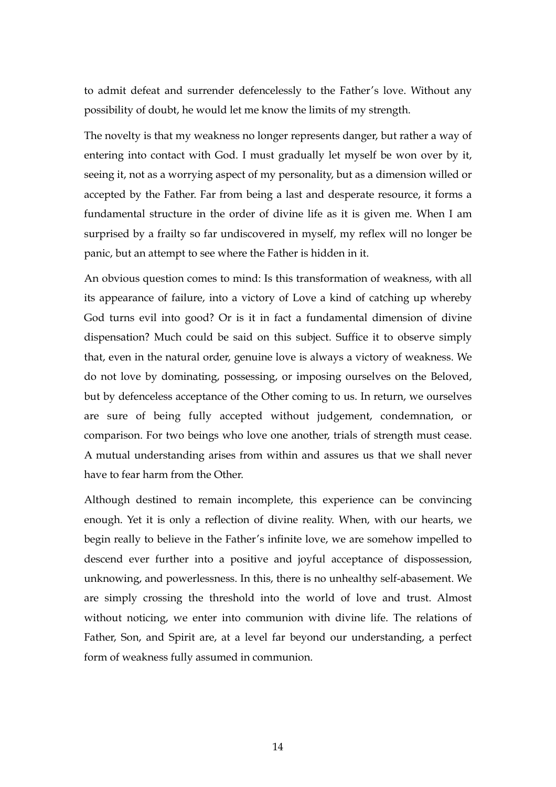to admit defeat and surrender defencelessly to the Father's love. Without any possibility of doubt, he would let me know the limits of my strength.

The novelty is that my weakness no longer represents danger, but rather a way of entering into contact with God. I must gradually let myself be won over by it, seeing it, not as a worrying aspect of my personality, but as a dimension willed or accepted by the Father. Far from being a last and desperate resource, it forms a fundamental structure in the order of divine life as it is given me. When I am surprised by a frailty so far undiscovered in myself, my reflex will no longer be panic, but an attempt to see where the Father is hidden in it.

An obvious question comes to mind: Is this transformation of weakness, with all its appearance of failure, into a victory of Love a kind of catching up whereby God turns evil into good? Or is it in fact a fundamental dimension of divine dispensation? Much could be said on this subject. Suffice it to observe simply that, even in the natural order, genuine love is always a victory of weakness. We do not love by dominating, possessing, or imposing ourselves on the Beloved, but by defenceless acceptance of the Other coming to us. In return, we ourselves are sure of being fully accepted without judgement, condemnation, or comparison. For two beings who love one another, trials of strength must cease. A mutual understanding arises from within and assures us that we shall never have to fear harm from the Other.

Although destined to remain incomplete, this experience can be convincing enough. Yet it is only a reflection of divine reality. When, with our hearts, we begin really to believe in the Father's infinite love, we are somehow impelled to descend ever further into a positive and joyful acceptance of dispossession, unknowing, and powerlessness. In this, there is no unhealthy self-abasement. We are simply crossing the threshold into the world of love and trust. Almost without noticing, we enter into communion with divine life. The relations of Father, Son, and Spirit are, at a level far beyond our understanding, a perfect form of weakness fully assumed in communion.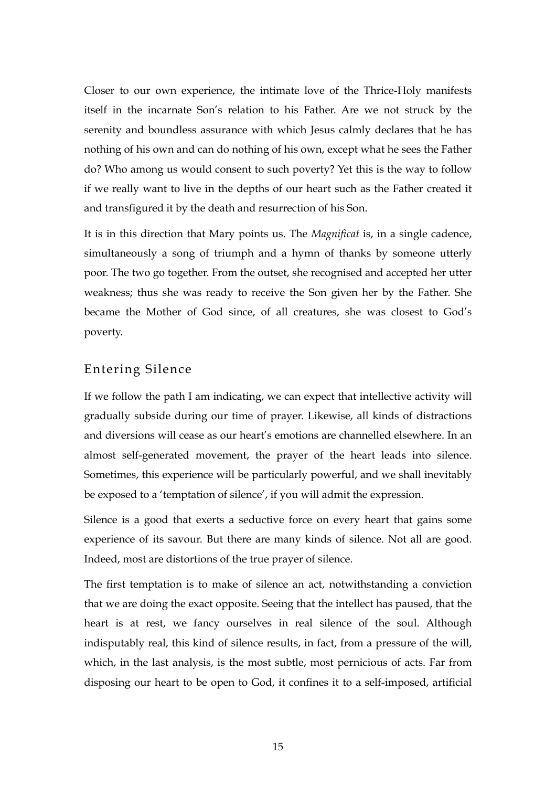Closer to our own experience, the intimate love of the Thrice-Holy manifests itself in the incarnate Son's relation to his Father. Are we not struck by the serenity and boundless assurance with which Jesus calmly declares that he has nothing of his own and can do nothing of his own, except what he sees the Father do? Who among us would consent to such poverty? Yet this is the way to follow if we really want to live in the depths of our heart such as the Father created it and transfigured it by the death and resurrection of his Son.

It is in this direction that Mary points us. The *Magnificat* is, in a single cadence, simultaneously a song of triumph and a hymn of thanks by someone utterly poor. The two go together. From the outset, she recognised and accepted her utter weakness; thus she was ready to receive the Son given her by the Father. She became the Mother of God since, of all creatures, she was closest to God's poverty.

#### Entering Silence

If we follow the path I am indicating, we can expect that intellective activity will gradually subside during our time of prayer. Likewise, all kinds of distractions and diversions will cease as our heart's emotions are channelled elsewhere. In an almost self-generated movement, the prayer of the heart leads into silence. Sometimes, this experience will be particularly powerful, and we shall inevitably be exposed to a 'temptation of silence', if you will admit the expression.

Silence is a good that exerts a seductive force on every heart that gains some experience of its savour. But there are many kinds of silence. Not all are good. Indeed, most are distortions of the true prayer of silence.

The first temptation is to make of silence an act, notwithstanding a conviction that we are doing the exact opposite. Seeing that the intellect has paused, that the heart is at rest, we fancy ourselves in real silence of the soul. Although indisputably real, this kind of silence results, in fact, from a pressure of the will, which, in the last analysis, is the most subtle, most pernicious of acts. Far from disposing our heart to be open to God, it confines it to a self-imposed, artificial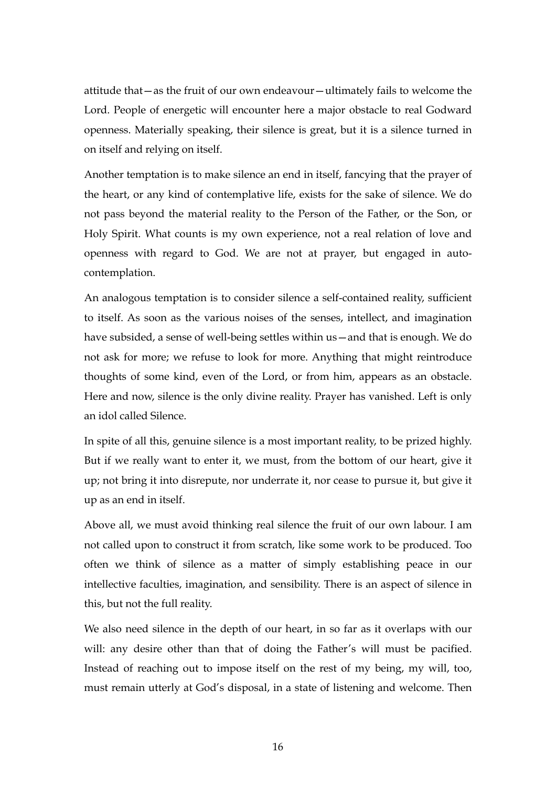attitude that—as the fruit of our own endeavour—ultimately fails to welcome the Lord. People of energetic will encounter here a major obstacle to real Godward openness. Materially speaking, their silence is great, but it is a silence turned in on itself and relying on itself.

Another temptation is to make silence an end in itself, fancying that the prayer of the heart, or any kind of contemplative life, exists for the sake of silence. We do not pass beyond the material reality to the Person of the Father, or the Son, or Holy Spirit. What counts is my own experience, not a real relation of love and openness with regard to God. We are not at prayer, but engaged in autocontemplation.

An analogous temptation is to consider silence a self-contained reality, sufficient to itself. As soon as the various noises of the senses, intellect, and imagination have subsided, a sense of well-being settles within us—and that is enough. We do not ask for more; we refuse to look for more. Anything that might reintroduce thoughts of some kind, even of the Lord, or from him, appears as an obstacle. Here and now, silence is the only divine reality. Prayer has vanished. Left is only an idol called Silence.

In spite of all this, genuine silence is a most important reality, to be prized highly. But if we really want to enter it, we must, from the bottom of our heart, give it up; not bring it into disrepute, nor underrate it, nor cease to pursue it, but give it up as an end in itself.

Above all, we must avoid thinking real silence the fruit of our own labour. I am not called upon to construct it from scratch, like some work to be produced. Too often we think of silence as a matter of simply establishing peace in our intellective faculties, imagination, and sensibility. There is an aspect of silence in this, but not the full reality.

We also need silence in the depth of our heart, in so far as it overlaps with our will: any desire other than that of doing the Father's will must be pacified. Instead of reaching out to impose itself on the rest of my being, my will, too, must remain utterly at God's disposal, in a state of listening and welcome. Then